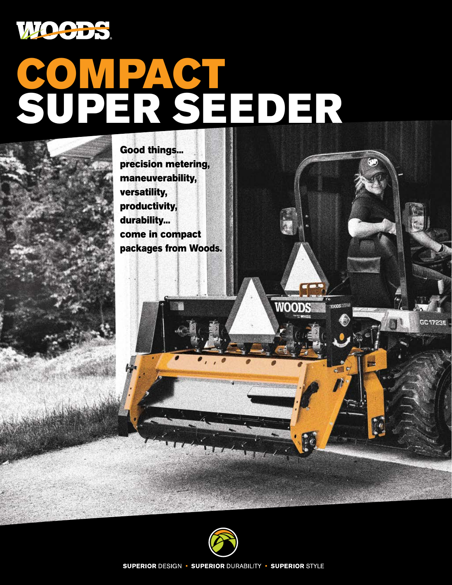

# COMPACT SUPER SEEDER





**WOOD** 

**GC 1723F** 

**SUPERIOR DESIGN · SUPERIOR DURABILITY · SUPERIOR STYLE**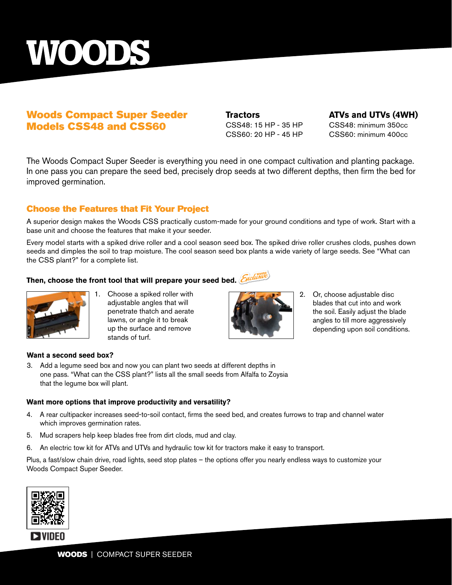

#### Woods Compact Super Seeder Models CSS48 and CSS60

CSS48: 15 HP - 35 HP CSS48: minimum 350cc CSS60: 20 HP - 45 HP CSS60: minimum 400cc

**Tractors ATVs and UTVs (4WH)**

The Woods Compact Super Seeder is everything you need in one compact cultivation and planting package. In one pass you can prepare the seed bed, precisely drop seeds at two different depths, then firm the bed for improved germination.

#### Choose the Features that Fit Your Project

A superior design makes the Woods CSS practically custom-made for your ground conditions and type of work. Start with a base unit and choose the features that make it your seeder.

Every model starts with a spiked drive roller and a cool season seed box. The spiked drive roller crushes clods, pushes down seeds and dimples the soil to trap moisture. The cool season seed box plants a wide variety of large seeds. See "What can the CSS plant?" for a complete list.

## Then, choose the front tool that will prepare your seed bed. *Exclude*



Choose a spiked roller with adjustable angles that will penetrate thatch and aerate lawns, or angle it to break up the surface and remove stands of turf.



2. Or, choose adjustable disc blades that cut into and work the soil. Easily adjust the blade angles to till more aggressively depending upon soil conditions.

#### **Want a second seed box?**

3. Add a legume seed box and now you can plant two seeds at different depths in one pass. "What can the CSS plant?" lists all the small seeds from Alfalfa to Zoysia that the legume box will plant.

#### **Want more options that improve productivity and versatility?**

- 4. A rear cultipacker increases seed-to-soil contact, firms the seed bed, and creates furrows to trap and channel water which improves germination rates.
- 5. Mud scrapers help keep blades free from dirt clods, mud and clay.
- 6. An electric tow kit for ATVs and UTVs and hydraulic tow kit for tractors make it easy to transport.

Plus, a fast/slow chain drive, road lights, seed stop plates – the options offer you nearly endless ways to customize your Woods Compact Super Seeder.

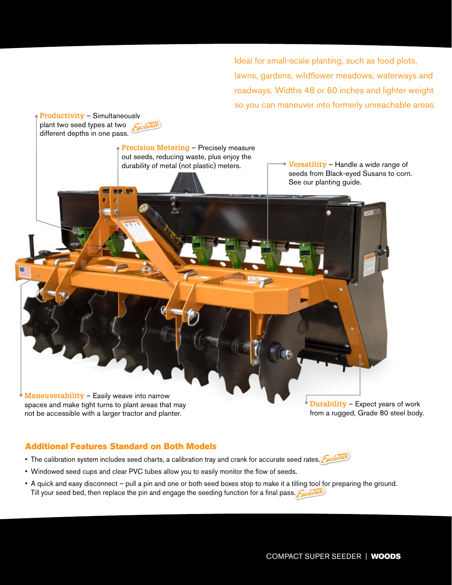Ideal for small-scale planting, such as food plots, lawns, gardens, wildflower meadows, waterways and roadways. Widths 48 or 60 inches and lighter weight so you can maneuver into formerly unreachable areas.



#### Additional Features Standard on Both Models

- The calibration system includes seed charts, a calibration tray and crank for accurate seed rates. Sychime
- Windowed seed cups and clear PVC tubes allow you to easily monitor the flow of seeds.
- A quick and easy disconnect pull a pin and one or both seed boxes stop to make it a tilling tool for preparing the ground. Till your seed bed, then replace the pin and engage the seeding function for a final pass.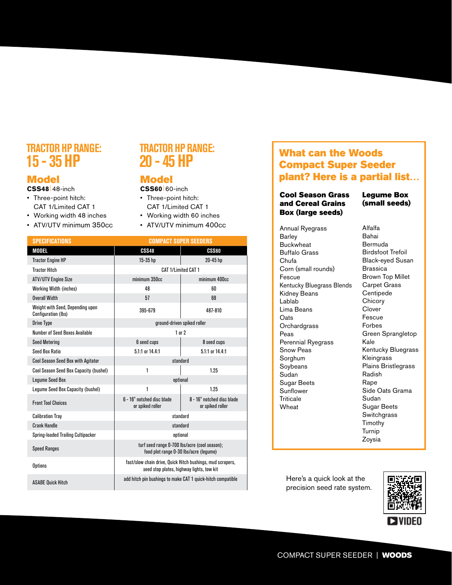# **TRACTOR HP RANGE:**

#### Model

**CSS48**|48-inch

- Three-point hitch: CAT 1/Limited CAT 1
- Working width 48 inches
- ATV/UTV minimum 350cc

### **TRACTOR HP RANGE: 20 - 45 HP**

#### Model

**CSS60**|60-inch

- Three-point hitch: CAT 1/Limited CAT 1
- Working width 60 inches
- ATV/UTV minimum 400cc

| <b>SPECIFICATIONS</b>                                   | <b>COMPACT SUPER SEEDERS</b>                                                                            |                                                |
|---------------------------------------------------------|---------------------------------------------------------------------------------------------------------|------------------------------------------------|
| <b>MODEL</b>                                            | <b>CSS48</b>                                                                                            | <b>CSS60</b>                                   |
| <b>Tractor Engine HP</b>                                | 15-35 hp                                                                                                | 20-45 hp                                       |
| <b>Tractor Hitch</b>                                    | CAT 1/I imited CAT 1                                                                                    |                                                |
| <b>ATV/UTV Engine Size</b>                              | minimum 350cc                                                                                           | minimum 400cc                                  |
| <b>Working Width (inches)</b>                           | 48                                                                                                      | 60                                             |
| <b>Overall Width</b>                                    | 57                                                                                                      | 69                                             |
| Weight with Seed, Depending upon<br>Configuration (lbs) | 395-679                                                                                                 | 487-810                                        |
| <b>Drive Type</b>                                       | ground-driven spiked roller                                                                             |                                                |
| Number of Seed Boxes Available                          | $1$ or $2$                                                                                              |                                                |
| <b>Seed Metering</b>                                    | 6 seed cups                                                                                             | 8 seed cups                                    |
| <b>Seed Box Ratio</b>                                   | 5.1:1 or 14.4:1                                                                                         | $5.1:1$ or $14.4:1$                            |
| <b>Cool Season Seed Box with Agitator</b>               | standard                                                                                                |                                                |
| Cool Season Seed Box Capacity (bushel)                  | 1                                                                                                       | 1.25                                           |
| <b>Lequme Seed Box</b>                                  | optional                                                                                                |                                                |
| Legume Seed Box Capacity (bushel)                       | 1                                                                                                       | 1.25                                           |
| <b>Front Tool Choices</b>                               | 6 - 16" notched disc blade<br>or spiked roller                                                          | 8 - 16" notched disc blade<br>or spiked roller |
| <b>Calibration Tray</b>                                 | standard                                                                                                |                                                |
| <b>Crank Handle</b>                                     | standard                                                                                                |                                                |
| Spring-loaded Trailing Cultipacker                      | optional                                                                                                |                                                |
| <b>Speed Ranges</b>                                     | turf seed range 0-700 lbs/acre (cool season);<br>food plot range 0-30 lbs/acre (lequme)                 |                                                |
| <b>Options</b>                                          | fast/slow chain drive, Quick Hitch bushings, mud scrapers,<br>seed stop plates, highway lights, tow kit |                                                |
| <b>ASABE Ouick Hitch</b>                                | add hitch pin bushings to make CAT 1 quick-hitch compatible                                             |                                                |

# THATURE THE THE THEORY OF THE THEORY OF THE USE OF THE WOODS<br>15 - 35 HP **20 - 45 HP** Compact Super Seeder plant? Here is a partial list…

#### Cool Season Grass and Cereal Grains Box (large seeds)

Annual Ryegrass **Barley** Buckwheat Buffalo Grass Chufa Corn (small rounds) Fescue Kentucky Bluegrass Blends Kidney Beans Lablab Lima Beans **Oats Orchardgrass** Peas Perennial Ryegrass Snow Peas Sorghum Soybeans Sudan Sugar Beets Sunflower **Triticale** Wheat

#### Legume Box (small seeds)

Alfalfa Bahai Bermuda Birdsfoot Trefoil Black-eyed Susan Brassica Brown Top Millet Carpet Grass Centipede **Chicory Clover** Fescue Forbes Green Sprangletop Kale Kentucky Bluegrass Kleingrass Plains Bristlegrass Radish Rape Side Oats Grama Sudan Sugar Beets **Switchgrass** Timothy Turnip Zoysia

Here's a quick look at the precision seed rate system.

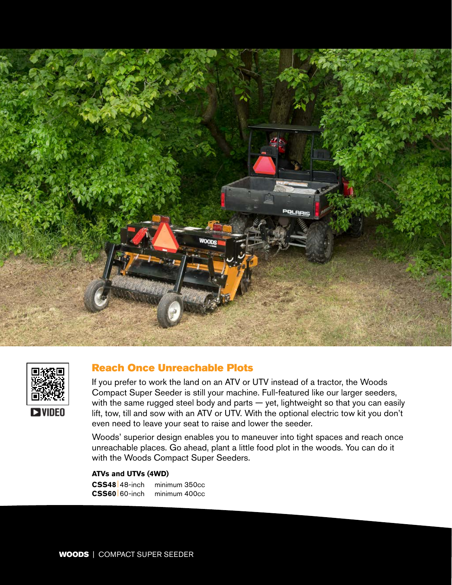



#### Reach Once Unreachable Plots

If you prefer to work the land on an ATV or UTV instead of a tractor, the Woods Compact Super Seeder is still your machine. Full-featured like our larger seeders, with the same rugged steel body and parts — yet, lightweight so that you can easily lift, tow, till and sow with an ATV or UTV. With the optional electric tow kit you don't even need to leave your seat to raise and lower the seeder.

Woods' superior design enables you to maneuver into tight spaces and reach once unreachable places. Go ahead, plant a little food plot in the woods. You can do it with the Woods Compact Super Seeders.

**ATVs and UTVs (4WD)**

**CSS48**|48-inch minimum 350cc **CSS60**|60-inch minimum 400cc